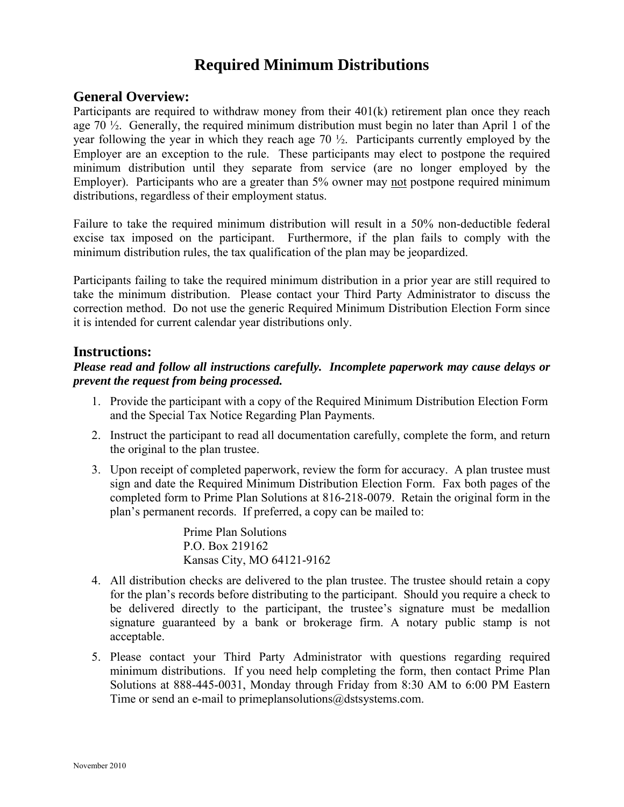# **Required Minimum Distributions**

### **General Overview:**

Participants are required to withdraw money from their 401(k) retirement plan once they reach age 70  $\frac{1}{2}$ . Generally, the required minimum distribution must begin no later than April 1 of the year following the year in which they reach age 70 ½. Participants currently employed by the Employer are an exception to the rule. These participants may elect to postpone the required minimum distribution until they separate from service (are no longer employed by the Employer). Participants who are a greater than 5% owner may not postpone required minimum distributions, regardless of their employment status.

Failure to take the required minimum distribution will result in a 50% non-deductible federal excise tax imposed on the participant. Furthermore, if the plan fails to comply with the minimum distribution rules, the tax qualification of the plan may be jeopardized.

Participants failing to take the required minimum distribution in a prior year are still required to take the minimum distribution. Please contact your Third Party Administrator to discuss the correction method. Do not use the generic Required Minimum Distribution Election Form since it is intended for current calendar year distributions only.

### **Instructions:**

### *Please read and follow all instructions carefully. Incomplete paperwork may cause delays or prevent the request from being processed.*

- 1. Provide the participant with a copy of the Required Minimum Distribution Election Form and the Special Tax Notice Regarding Plan Payments.
- 2. Instruct the participant to read all documentation carefully, complete the form, and return the original to the plan trustee.
- 3. Upon receipt of completed paperwork, review the form for accuracy. A plan trustee must sign and date the Required Minimum Distribution Election Form. Fax both pages of the completed form to Prime Plan Solutions at 816-218-0079. Retain the original form in the plan's permanent records. If preferred, a copy can be mailed to:

Prime Plan Solutions P.O. Box 219162 Kansas City, MO 64121-9162

- 4. All distribution checks are delivered to the plan trustee. The trustee should retain a copy for the plan's records before distributing to the participant. Should you require a check to be delivered directly to the participant, the trustee's signature must be medallion signature guaranteed by a bank or brokerage firm. A notary public stamp is not acceptable.
- 5. Please contact your Third Party Administrator with questions regarding required minimum distributions. If you need help completing the form, then contact Prime Plan Solutions at 888-445-0031, Monday through Friday from 8:30 AM to 6:00 PM Eastern Time or send an e-mail to primeplansolutions@dstsystems.com.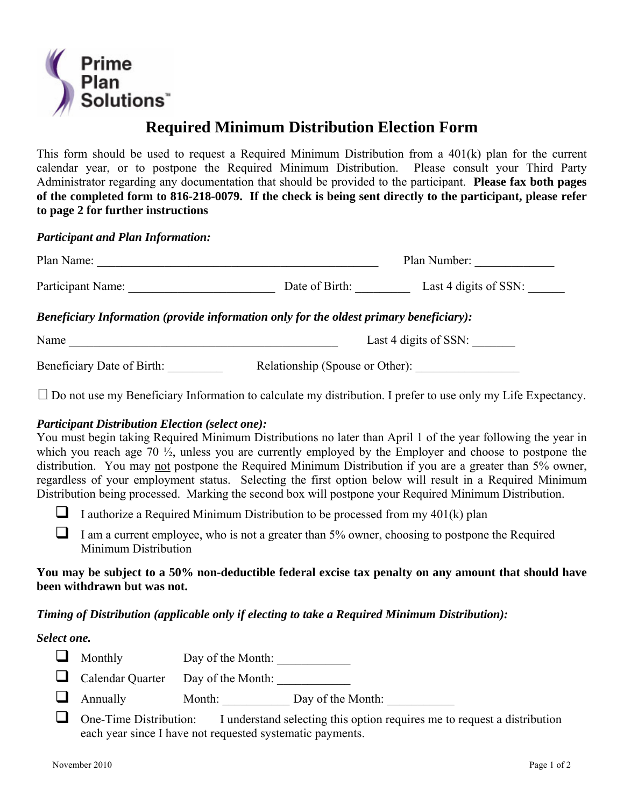

# **Required Minimum Distribution Election Form**

This form should be used to request a Required Minimum Distribution from a 401(k) plan for the current calendar year, or to postpone the Required Minimum Distribution. Please consult your Third Party Administrator regarding any documentation that should be provided to the participant. **Please fax both pages of the completed form to 816-218-0079. If the check is being sent directly to the participant, please refer to page 2 for further instructions**

*Participant and Plan Information:*

| Plan Name:                 |                                                                                        | Plan Number:          |  |
|----------------------------|----------------------------------------------------------------------------------------|-----------------------|--|
| Participant Name:          | Date of Birth:                                                                         | Last 4 digits of SSN: |  |
|                            | Beneficiary Information (provide information only for the oldest primary beneficiary): |                       |  |
| Name                       |                                                                                        | Last 4 digits of SSN: |  |
| Beneficiary Date of Birth: | Relationship (Spouse or Other):                                                        |                       |  |

 $\Box$  Do not use my Beneficiary Information to calculate my distribution. I prefer to use only my Life Expectancy.

### *Participant Distribution Election (select one):*

You must begin taking Required Minimum Distributions no later than April 1 of the year following the year in which you reach age 70 ½, unless you are currently employed by the Employer and choose to postpone the distribution. You may not postpone the Required Minimum Distribution if you are a greater than 5% owner, regardless of your employment status. Selecting the first option below will result in a Required Minimum Distribution being processed. Marking the second box will postpone your Required Minimum Distribution.

I authorize a Required Minimum Distribution to be processed from my  $401(k)$  plan

 $\Box$  I am a current employee, who is not a greater than 5% owner, choosing to postpone the Required Minimum Distribution

#### **You may be subject to a 50% non-deductible federal excise tax penalty on any amount that should have been withdrawn but was not.**

### *Timing of Distribution (applicable only if electing to take a Required Minimum Distribution):*

*Select one.* 

| $\Box$ | Monthly | Day of the Month: |  |
|--------|---------|-------------------|--|
|--------|---------|-------------------|--|

- Calendar Quarter Day of the Month: \_\_\_\_\_\_\_\_\_\_\_\_
- Annually Month: Day of the Month:
- $\Box$  One-Time Distribution: I understand selecting this option requires me to request a distribution each year since I have not requested systematic payments.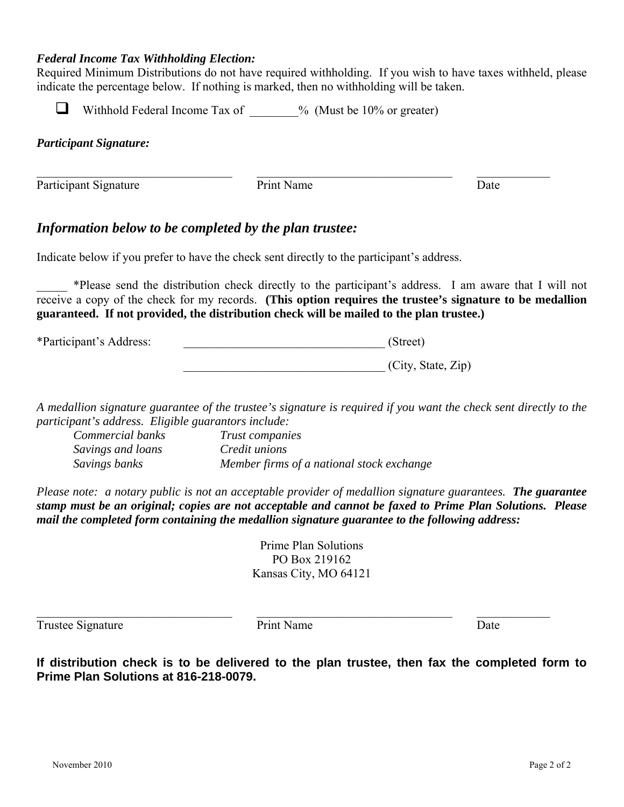#### *Federal Income Tax Withholding Election:*

Required Minimum Distributions do not have required withholding. If you wish to have taxes withheld, please indicate the percentage below. If nothing is marked, then no withholding will be taken.

Withhold Federal Income Tax of  $\frac{1}{2}$  % (Must be 10% or greater)

*Participant Signature:* 

Participant Signature Print Name Date

 $\_$  , and the contribution of the contribution of  $\overline{\mathcal{L}}$  , and the contribution of  $\overline{\mathcal{L}}$  , and  $\overline{\mathcal{L}}$ 

## *Information below to be completed by the plan trustee:*

Indicate below if you prefer to have the check sent directly to the participant's address.

\_\_\_\_\_ \*Please send the distribution check directly to the participant's address. I am aware that I will not receive a copy of the check for my records. **(This option requires the trustee's signature to be medallion guaranteed. If not provided, the distribution check will be mailed to the plan trustee.)** 

\*Participant's Address: \_\_\_\_\_\_\_\_\_\_\_\_\_\_\_\_\_\_\_\_\_\_\_\_\_\_\_\_\_\_\_\_\_ (Street)

\_\_\_\_\_\_\_\_\_\_\_\_\_\_\_\_\_\_\_\_\_\_\_\_\_\_\_\_\_\_\_\_\_ (City, State, Zip)

*A medallion signature guarantee of the trustee's signature is required if you want the check sent directly to the participant's address. Eligible guarantors include:* 

*Commercial banks Trust companies Savings and loans Credit unions Savings banks Member firms of a national stock exchange* 

*Please note: a notary public is not an acceptable provider of medallion signature guarantees. The guarantee stamp must be an original; copies are not acceptable and cannot be faxed to Prime Plan Solutions. Please mail the completed form containing the medallion signature guarantee to the following address:* 

> Prime Plan Solutions PO Box 219162 Kansas City, MO 64121

Trustee Signature Date Print Name Date

 $\_$  , and the contribution of the contribution of  $\overline{\mathcal{L}}$  , and the contribution of  $\overline{\mathcal{L}}$  , and  $\overline{\mathcal{L}}$ 

**If distribution check is to be delivered to the plan trustee, then fax the completed form to Prime Plan Solutions at 816-218-0079.**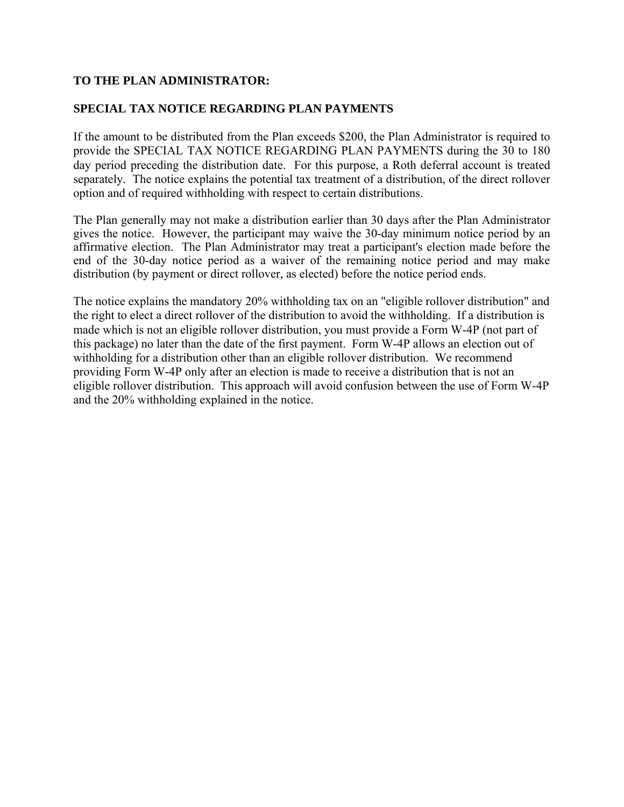### **TO THE PLAN ADMINISTRATOR:**

### **SPECIAL TAX NOTICE REGARDING PLAN PAYMENTS**

If the amount to be distributed from the Plan exceeds \$200, the Plan Administrator is required to provide the SPECIAL TAX NOTICE REGARDING PLAN PAYMENTS during the 30 to 180 day period preceding the distribution date. For this purpose, a Roth deferral account is treated separately. The notice explains the potential tax treatment of a distribution, of the direct rollover option and of required withholding with respect to certain distributions.

The Plan generally may not make a distribution earlier than 30 days after the Plan Administrator gives the notice. However, the participant may waive the 30-day minimum notice period by an affirmative election. The Plan Administrator may treat a participant's election made before the end of the 30-day notice period as a waiver of the remaining notice period and may make distribution (by payment or direct rollover, as elected) before the notice period ends.

The notice explains the mandatory 20% withholding tax on an "eligible rollover distribution" and the right to elect a direct rollover of the distribution to avoid the withholding. If a distribution is made which is not an eligible rollover distribution, you must provide a Form W-4P (not part of this package) no later than the date of the first payment. Form W-4P allows an election out of withholding for a distribution other than an eligible rollover distribution. We recommend providing Form W-4P only after an election is made to receive a distribution that is not an eligible rollover distribution. This approach will avoid confusion between the use of Form W-4P and the 20% withholding explained in the notice.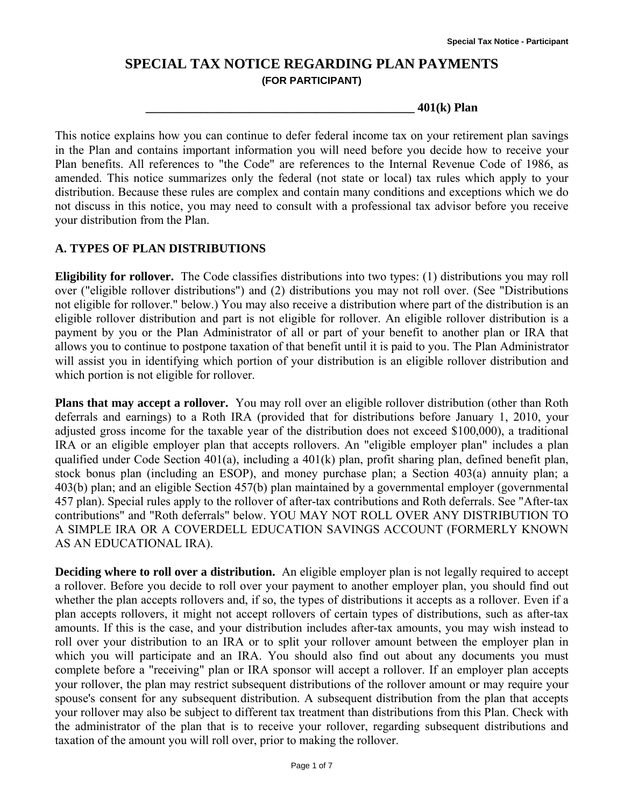## **SPECIAL TAX NOTICE REGARDING PLAN PAYMENTS (FOR PARTICIPANT)**

**\_\_\_\_\_\_\_\_\_\_\_\_\_\_\_\_\_\_\_\_\_\_\_\_\_\_\_\_\_\_\_\_\_\_\_\_\_\_\_\_\_\_\_\_ 401(k) Plan** 

This notice explains how you can continue to defer federal income tax on your retirement plan savings in the Plan and contains important information you will need before you decide how to receive your Plan benefits. All references to "the Code" are references to the Internal Revenue Code of 1986, as amended. This notice summarizes only the federal (not state or local) tax rules which apply to your distribution. Because these rules are complex and contain many conditions and exceptions which we do not discuss in this notice, you may need to consult with a professional tax advisor before you receive your distribution from the Plan.

### **A. TYPES OF PLAN DISTRIBUTIONS**

**Eligibility for rollover.** The Code classifies distributions into two types: (1) distributions you may roll over ("eligible rollover distributions") and (2) distributions you may not roll over. (See "Distributions not eligible for rollover." below.) You may also receive a distribution where part of the distribution is an eligible rollover distribution and part is not eligible for rollover. An eligible rollover distribution is a payment by you or the Plan Administrator of all or part of your benefit to another plan or IRA that allows you to continue to postpone taxation of that benefit until it is paid to you. The Plan Administrator will assist you in identifying which portion of your distribution is an eligible rollover distribution and which portion is not eligible for rollover.

**Plans that may accept a rollover.** You may roll over an eligible rollover distribution (other than Roth deferrals and earnings) to a Roth IRA (provided that for distributions before January 1, 2010, your adjusted gross income for the taxable year of the distribution does not exceed \$100,000), a traditional IRA or an eligible employer plan that accepts rollovers. An "eligible employer plan" includes a plan qualified under Code Section 401(a), including a 401(k) plan, profit sharing plan, defined benefit plan, stock bonus plan (including an ESOP), and money purchase plan; a Section 403(a) annuity plan; a 403(b) plan; and an eligible Section 457(b) plan maintained by a governmental employer (governmental 457 plan). Special rules apply to the rollover of after-tax contributions and Roth deferrals. See "After-tax contributions" and "Roth deferrals" below. YOU MAY NOT ROLL OVER ANY DISTRIBUTION TO A SIMPLE IRA OR A COVERDELL EDUCATION SAVINGS ACCOUNT (FORMERLY KNOWN AS AN EDUCATIONAL IRA).

**Deciding where to roll over a distribution.** An eligible employer plan is not legally required to accept a rollover. Before you decide to roll over your payment to another employer plan, you should find out whether the plan accepts rollovers and, if so, the types of distributions it accepts as a rollover. Even if a plan accepts rollovers, it might not accept rollovers of certain types of distributions, such as after-tax amounts. If this is the case, and your distribution includes after-tax amounts, you may wish instead to roll over your distribution to an IRA or to split your rollover amount between the employer plan in which you will participate and an IRA. You should also find out about any documents you must complete before a "receiving" plan or IRA sponsor will accept a rollover. If an employer plan accepts your rollover, the plan may restrict subsequent distributions of the rollover amount or may require your spouse's consent for any subsequent distribution. A subsequent distribution from the plan that accepts your rollover may also be subject to different tax treatment than distributions from this Plan. Check with the administrator of the plan that is to receive your rollover, regarding subsequent distributions and taxation of the amount you will roll over, prior to making the rollover.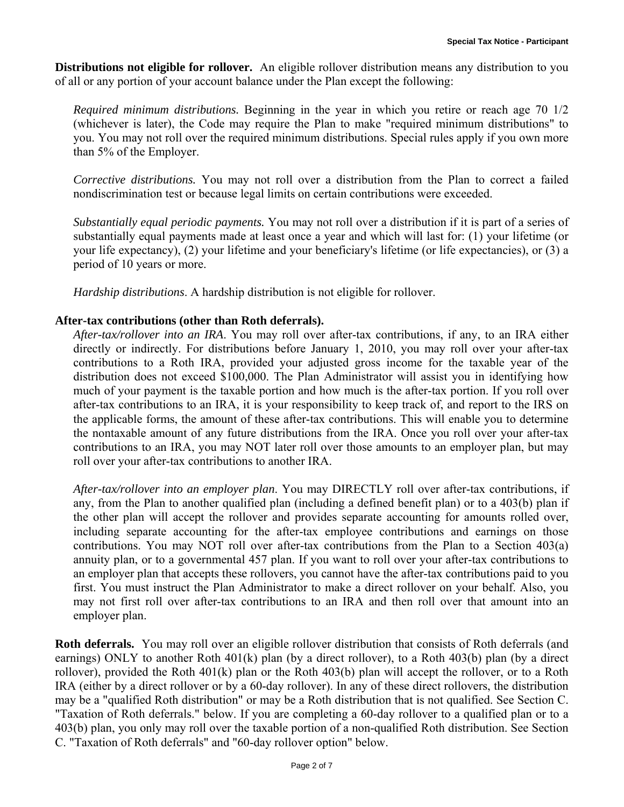**Distributions not eligible for rollover.** An eligible rollover distribution means any distribution to you of all or any portion of your account balance under the Plan except the following:

*Required minimum distributions.* Beginning in the year in which you retire or reach age 70 1/2 (whichever is later), the Code may require the Plan to make "required minimum distributions" to you. You may not roll over the required minimum distributions. Special rules apply if you own more than 5% of the Employer.

*Corrective distributions.* You may not roll over a distribution from the Plan to correct a failed nondiscrimination test or because legal limits on certain contributions were exceeded.

*Substantially equal periodic payments.* You may not roll over a distribution if it is part of a series of substantially equal payments made at least once a year and which will last for: (1) your lifetime (or your life expectancy), (2) your lifetime and your beneficiary's lifetime (or life expectancies), or (3) a period of 10 years or more.

*Hardship distributions*. A hardship distribution is not eligible for rollover.

### **After-tax contributions (other than Roth deferrals).**

*After-tax/rollover into an IRA*. You may roll over after-tax contributions, if any, to an IRA either directly or indirectly. For distributions before January 1, 2010, you may roll over your after-tax contributions to a Roth IRA, provided your adjusted gross income for the taxable year of the distribution does not exceed \$100,000. The Plan Administrator will assist you in identifying how much of your payment is the taxable portion and how much is the after-tax portion. If you roll over after-tax contributions to an IRA, it is your responsibility to keep track of, and report to the IRS on the applicable forms, the amount of these after-tax contributions. This will enable you to determine the nontaxable amount of any future distributions from the IRA. Once you roll over your after-tax contributions to an IRA, you may NOT later roll over those amounts to an employer plan, but may roll over your after-tax contributions to another IRA.

*After-tax/rollover into an employer plan*. You may DIRECTLY roll over after-tax contributions, if any, from the Plan to another qualified plan (including a defined benefit plan) or to a 403(b) plan if the other plan will accept the rollover and provides separate accounting for amounts rolled over, including separate accounting for the after-tax employee contributions and earnings on those contributions. You may NOT roll over after-tax contributions from the Plan to a Section 403(a) annuity plan, or to a governmental 457 plan. If you want to roll over your after-tax contributions to an employer plan that accepts these rollovers, you cannot have the after-tax contributions paid to you first. You must instruct the Plan Administrator to make a direct rollover on your behalf. Also, you may not first roll over after-tax contributions to an IRA and then roll over that amount into an employer plan.

**Roth deferrals.** You may roll over an eligible rollover distribution that consists of Roth deferrals (and earnings) ONLY to another Roth 401(k) plan (by a direct rollover), to a Roth 403(b) plan (by a direct rollover), provided the Roth 401(k) plan or the Roth 403(b) plan will accept the rollover, or to a Roth IRA (either by a direct rollover or by a 60-day rollover). In any of these direct rollovers, the distribution may be a "qualified Roth distribution" or may be a Roth distribution that is not qualified. See Section C. "Taxation of Roth deferrals." below. If you are completing a 60-day rollover to a qualified plan or to a 403(b) plan, you only may roll over the taxable portion of a non-qualified Roth distribution. See Section C. "Taxation of Roth deferrals" and "60-day rollover option" below.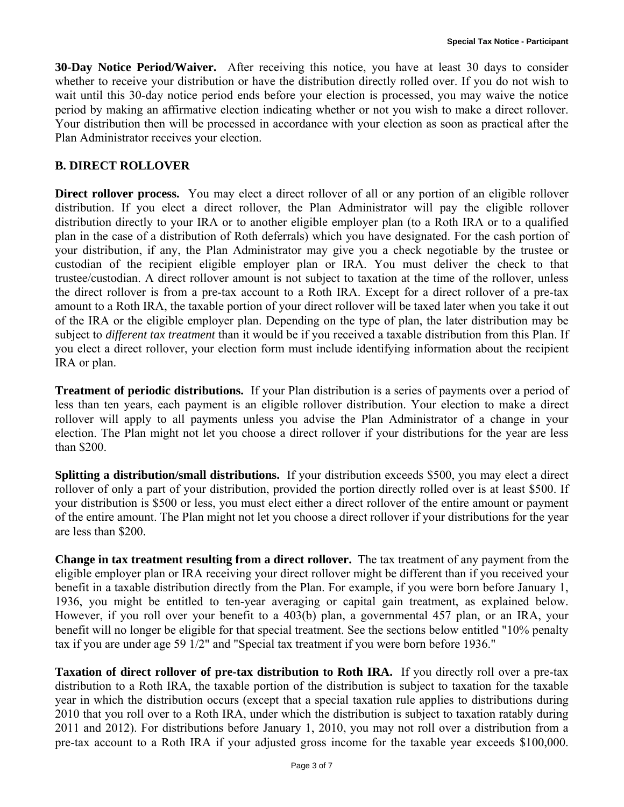**30-Day Notice Period/Waiver.** After receiving this notice, you have at least 30 days to consider whether to receive your distribution or have the distribution directly rolled over. If you do not wish to wait until this 30-day notice period ends before your election is processed, you may waive the notice period by making an affirmative election indicating whether or not you wish to make a direct rollover. Your distribution then will be processed in accordance with your election as soon as practical after the Plan Administrator receives your election.

### **B. DIRECT ROLLOVER**

**Direct rollover process.** You may elect a direct rollover of all or any portion of an eligible rollover distribution. If you elect a direct rollover, the Plan Administrator will pay the eligible rollover distribution directly to your IRA or to another eligible employer plan (to a Roth IRA or to a qualified plan in the case of a distribution of Roth deferrals) which you have designated. For the cash portion of your distribution, if any, the Plan Administrator may give you a check negotiable by the trustee or custodian of the recipient eligible employer plan or IRA. You must deliver the check to that trustee/custodian. A direct rollover amount is not subject to taxation at the time of the rollover, unless the direct rollover is from a pre-tax account to a Roth IRA. Except for a direct rollover of a pre-tax amount to a Roth IRA, the taxable portion of your direct rollover will be taxed later when you take it out of the IRA or the eligible employer plan. Depending on the type of plan, the later distribution may be subject to *different tax treatment* than it would be if you received a taxable distribution from this Plan. If you elect a direct rollover, your election form must include identifying information about the recipient IRA or plan.

**Treatment of periodic distributions.** If your Plan distribution is a series of payments over a period of less than ten years, each payment is an eligible rollover distribution. Your election to make a direct rollover will apply to all payments unless you advise the Plan Administrator of a change in your election. The Plan might not let you choose a direct rollover if your distributions for the year are less than \$200.

**Splitting a distribution/small distributions.** If your distribution exceeds \$500, you may elect a direct rollover of only a part of your distribution, provided the portion directly rolled over is at least \$500. If your distribution is \$500 or less, you must elect either a direct rollover of the entire amount or payment of the entire amount. The Plan might not let you choose a direct rollover if your distributions for the year are less than \$200.

**Change in tax treatment resulting from a direct rollover.** The tax treatment of any payment from the eligible employer plan or IRA receiving your direct rollover might be different than if you received your benefit in a taxable distribution directly from the Plan. For example, if you were born before January 1, 1936, you might be entitled to ten-year averaging or capital gain treatment, as explained below. However, if you roll over your benefit to a 403(b) plan, a governmental 457 plan, or an IRA, your benefit will no longer be eligible for that special treatment. See the sections below entitled "10% penalty tax if you are under age 59 1/2" and "Special tax treatment if you were born before 1936."

**Taxation of direct rollover of pre-tax distribution to Roth IRA.** If you directly roll over a pre-tax distribution to a Roth IRA, the taxable portion of the distribution is subject to taxation for the taxable year in which the distribution occurs (except that a special taxation rule applies to distributions during 2010 that you roll over to a Roth IRA, under which the distribution is subject to taxation ratably during 2011 and 2012). For distributions before January 1, 2010, you may not roll over a distribution from a pre-tax account to a Roth IRA if your adjusted gross income for the taxable year exceeds \$100,000.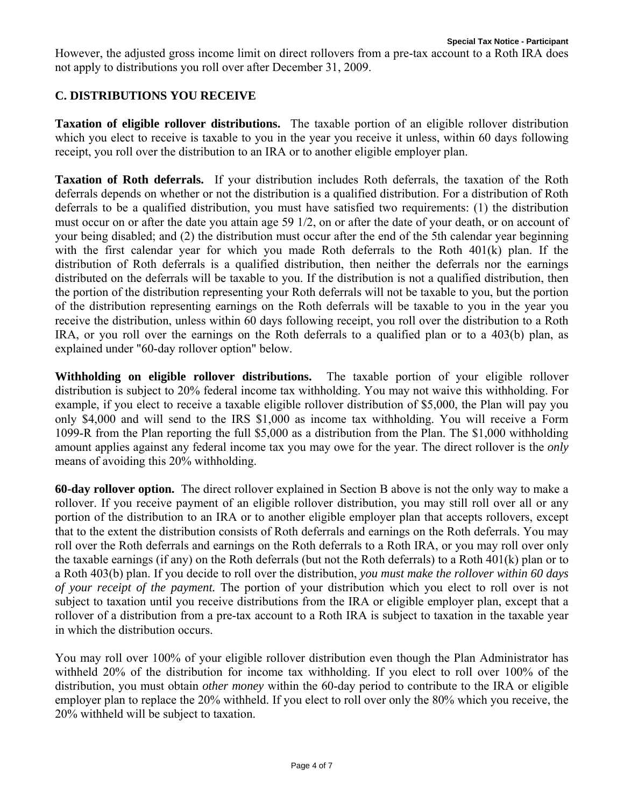However, the adjusted gross income limit on direct rollovers from a pre-tax account to a Roth IRA does not apply to distributions you roll over after December 31, 2009.

### **C. DISTRIBUTIONS YOU RECEIVE**

**Taxation of eligible rollover distributions.** The taxable portion of an eligible rollover distribution which you elect to receive is taxable to you in the year you receive it unless, within 60 days following receipt, you roll over the distribution to an IRA or to another eligible employer plan.

**Taxation of Roth deferrals.** If your distribution includes Roth deferrals, the taxation of the Roth deferrals depends on whether or not the distribution is a qualified distribution. For a distribution of Roth deferrals to be a qualified distribution, you must have satisfied two requirements: (1) the distribution must occur on or after the date you attain age 59 1/2, on or after the date of your death, or on account of your being disabled; and (2) the distribution must occur after the end of the 5th calendar year beginning with the first calendar year for which you made Roth deferrals to the Roth 401(k) plan. If the distribution of Roth deferrals is a qualified distribution, then neither the deferrals nor the earnings distributed on the deferrals will be taxable to you. If the distribution is not a qualified distribution, then the portion of the distribution representing your Roth deferrals will not be taxable to you, but the portion of the distribution representing earnings on the Roth deferrals will be taxable to you in the year you receive the distribution, unless within 60 days following receipt, you roll over the distribution to a Roth IRA, or you roll over the earnings on the Roth deferrals to a qualified plan or to a 403(b) plan, as explained under "60-day rollover option" below.

**Withholding on eligible rollover distributions.** The taxable portion of your eligible rollover distribution is subject to 20% federal income tax withholding. You may not waive this withholding. For example, if you elect to receive a taxable eligible rollover distribution of \$5,000, the Plan will pay you only \$4,000 and will send to the IRS \$1,000 as income tax withholding. You will receive a Form 1099-R from the Plan reporting the full \$5,000 as a distribution from the Plan. The \$1,000 withholding amount applies against any federal income tax you may owe for the year. The direct rollover is the *only* means of avoiding this 20% withholding.

**60-day rollover option.** The direct rollover explained in Section B above is not the only way to make a rollover. If you receive payment of an eligible rollover distribution, you may still roll over all or any portion of the distribution to an IRA or to another eligible employer plan that accepts rollovers, except that to the extent the distribution consists of Roth deferrals and earnings on the Roth deferrals. You may roll over the Roth deferrals and earnings on the Roth deferrals to a Roth IRA, or you may roll over only the taxable earnings (if any) on the Roth deferrals (but not the Roth deferrals) to a Roth 401(k) plan or to a Roth 403(b) plan. If you decide to roll over the distribution, *you must make the rollover within 60 days of your receipt of the payment.* The portion of your distribution which you elect to roll over is not subject to taxation until you receive distributions from the IRA or eligible employer plan, except that a rollover of a distribution from a pre-tax account to a Roth IRA is subject to taxation in the taxable year in which the distribution occurs.

You may roll over 100% of your eligible rollover distribution even though the Plan Administrator has withheld 20% of the distribution for income tax withholding. If you elect to roll over 100% of the distribution, you must obtain *other money* within the 60-day period to contribute to the IRA or eligible employer plan to replace the 20% withheld. If you elect to roll over only the 80% which you receive, the 20% withheld will be subject to taxation.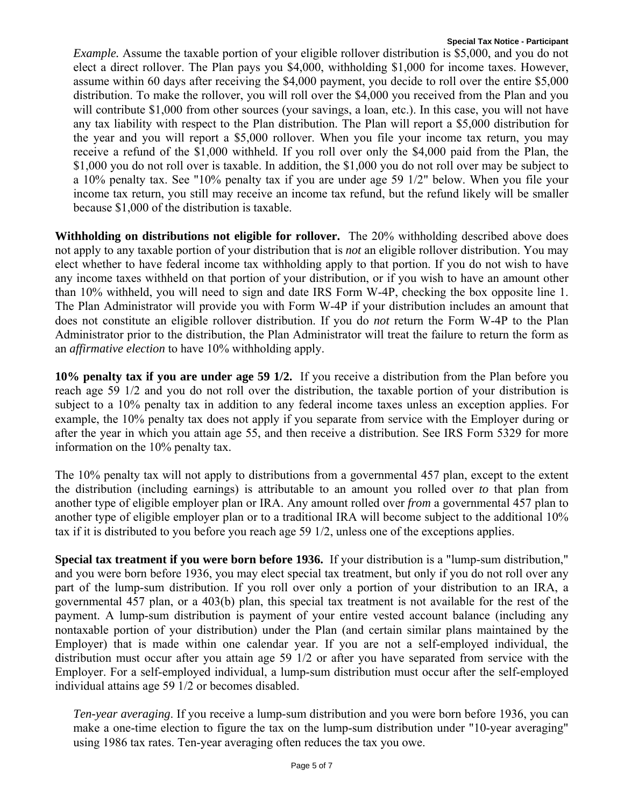*Example.* Assume the taxable portion of your eligible rollover distribution is \$5,000, and you do not elect a direct rollover. The Plan pays you \$4,000, withholding \$1,000 for income taxes. However, assume within 60 days after receiving the \$4,000 payment, you decide to roll over the entire \$5,000 distribution. To make the rollover, you will roll over the \$4,000 you received from the Plan and you will contribute \$1,000 from other sources (your savings, a loan, etc.). In this case, you will not have any tax liability with respect to the Plan distribution. The Plan will report a \$5,000 distribution for the year and you will report a \$5,000 rollover. When you file your income tax return, you may receive a refund of the \$1,000 withheld. If you roll over only the \$4,000 paid from the Plan, the \$1,000 you do not roll over is taxable. In addition, the \$1,000 you do not roll over may be subject to a 10% penalty tax. See "10% penalty tax if you are under age 59 1/2" below. When you file your income tax return, you still may receive an income tax refund, but the refund likely will be smaller because \$1,000 of the distribution is taxable.

**Withholding on distributions not eligible for rollover.** The 20% withholding described above does not apply to any taxable portion of your distribution that is *not* an eligible rollover distribution. You may elect whether to have federal income tax withholding apply to that portion. If you do not wish to have any income taxes withheld on that portion of your distribution, or if you wish to have an amount other than 10% withheld, you will need to sign and date IRS Form W-4P, checking the box opposite line 1. The Plan Administrator will provide you with Form W-4P if your distribution includes an amount that does not constitute an eligible rollover distribution. If you do *not* return the Form W-4P to the Plan Administrator prior to the distribution, the Plan Administrator will treat the failure to return the form as an *affirmative election* to have 10% withholding apply.

**10% penalty tax if you are under age 59 1/2.** If you receive a distribution from the Plan before you reach age 59 1/2 and you do not roll over the distribution, the taxable portion of your distribution is subject to a 10% penalty tax in addition to any federal income taxes unless an exception applies. For example, the 10% penalty tax does not apply if you separate from service with the Employer during or after the year in which you attain age 55, and then receive a distribution. See IRS Form 5329 for more information on the 10% penalty tax.

The 10% penalty tax will not apply to distributions from a governmental 457 plan, except to the extent the distribution (including earnings) is attributable to an amount you rolled over *to* that plan from another type of eligible employer plan or IRA. Any amount rolled over *from* a governmental 457 plan to another type of eligible employer plan or to a traditional IRA will become subject to the additional 10% tax if it is distributed to you before you reach age 59 1/2, unless one of the exceptions applies.

**Special tax treatment if you were born before 1936.** If your distribution is a "lump-sum distribution," and you were born before 1936, you may elect special tax treatment, but only if you do not roll over any part of the lump-sum distribution. If you roll over only a portion of your distribution to an IRA, a governmental 457 plan, or a 403(b) plan, this special tax treatment is not available for the rest of the payment. A lump-sum distribution is payment of your entire vested account balance (including any nontaxable portion of your distribution) under the Plan (and certain similar plans maintained by the Employer) that is made within one calendar year. If you are not a self-employed individual, the distribution must occur after you attain age 59 1/2 or after you have separated from service with the Employer. For a self-employed individual, a lump-sum distribution must occur after the self-employed individual attains age 59 1/2 or becomes disabled.

*Ten-year averaging*. If you receive a lump-sum distribution and you were born before 1936, you can make a one-time election to figure the tax on the lump-sum distribution under "10-year averaging" using 1986 tax rates. Ten-year averaging often reduces the tax you owe.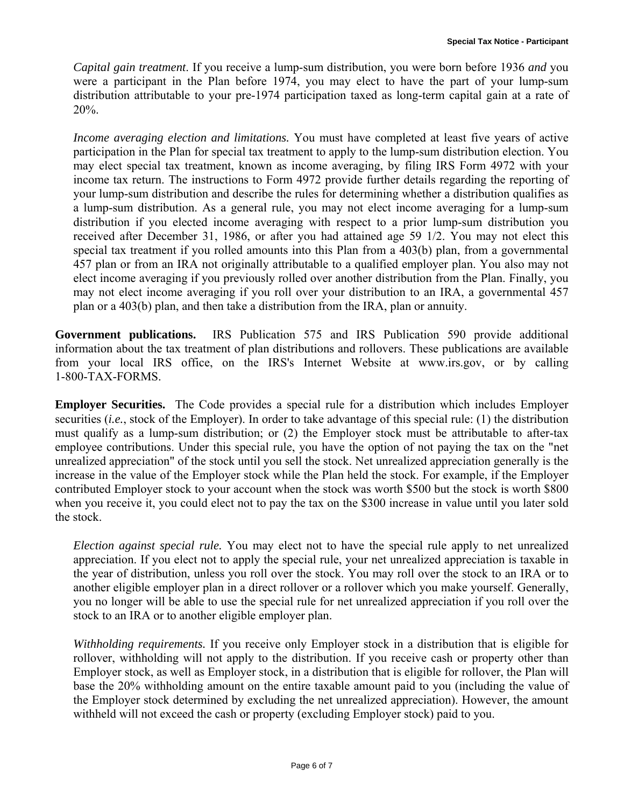*Capital gain treatment*. If you receive a lump-sum distribution, you were born before 1936 *and* you were a participant in the Plan before 1974, you may elect to have the part of your lump-sum distribution attributable to your pre-1974 participation taxed as long-term capital gain at a rate of 20%.

*Income averaging election and limitations.* You must have completed at least five years of active participation in the Plan for special tax treatment to apply to the lump-sum distribution election. You may elect special tax treatment, known as income averaging, by filing IRS Form 4972 with your income tax return. The instructions to Form 4972 provide further details regarding the reporting of your lump-sum distribution and describe the rules for determining whether a distribution qualifies as a lump-sum distribution. As a general rule, you may not elect income averaging for a lump-sum distribution if you elected income averaging with respect to a prior lump-sum distribution you received after December 31, 1986, or after you had attained age 59 1/2. You may not elect this special tax treatment if you rolled amounts into this Plan from a 403(b) plan, from a governmental 457 plan or from an IRA not originally attributable to a qualified employer plan. You also may not elect income averaging if you previously rolled over another distribution from the Plan. Finally, you may not elect income averaging if you roll over your distribution to an IRA, a governmental 457 plan or a 403(b) plan, and then take a distribution from the IRA, plan or annuity.

**Government publications.** IRS Publication 575 and IRS Publication 590 provide additional information about the tax treatment of plan distributions and rollovers. These publications are available from your local IRS office, on the IRS's Internet Website at www.irs.gov, or by calling 1-800-TAX-FORMS.

**Employer Securities.** The Code provides a special rule for a distribution which includes Employer securities *(i.e.*, stock of the Employer). In order to take advantage of this special rule: (1) the distribution must qualify as a lump-sum distribution; or (2) the Employer stock must be attributable to after-tax employee contributions. Under this special rule, you have the option of not paying the tax on the "net unrealized appreciation" of the stock until you sell the stock. Net unrealized appreciation generally is the increase in the value of the Employer stock while the Plan held the stock. For example, if the Employer contributed Employer stock to your account when the stock was worth \$500 but the stock is worth \$800 when you receive it, you could elect not to pay the tax on the \$300 increase in value until you later sold the stock.

*Election against special rule.* You may elect not to have the special rule apply to net unrealized appreciation. If you elect not to apply the special rule, your net unrealized appreciation is taxable in the year of distribution, unless you roll over the stock. You may roll over the stock to an IRA or to another eligible employer plan in a direct rollover or a rollover which you make yourself. Generally, you no longer will be able to use the special rule for net unrealized appreciation if you roll over the stock to an IRA or to another eligible employer plan.

*Withholding requirements.* If you receive only Employer stock in a distribution that is eligible for rollover, withholding will not apply to the distribution. If you receive cash or property other than Employer stock, as well as Employer stock, in a distribution that is eligible for rollover, the Plan will base the 20% withholding amount on the entire taxable amount paid to you (including the value of the Employer stock determined by excluding the net unrealized appreciation). However, the amount withheld will not exceed the cash or property (excluding Employer stock) paid to you.